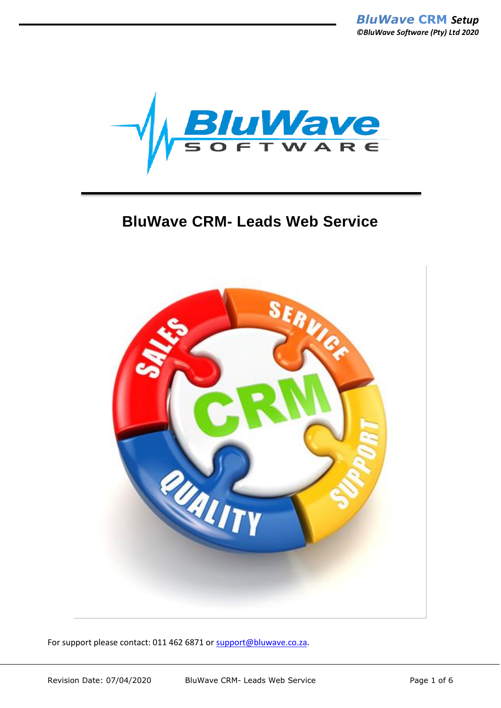

# **BluWave CRM- Leads Web Service**



For support please contact: 011 462 6871 or [support@bluwave.co.za.](mailto:support@bluwave.co.za)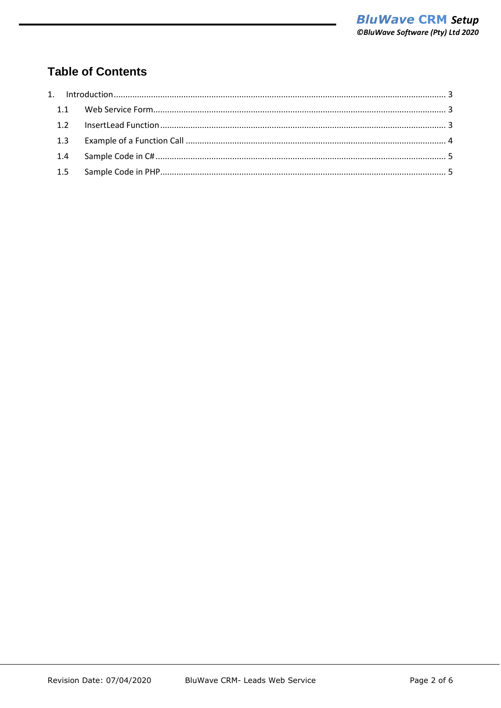# **Table of Contents**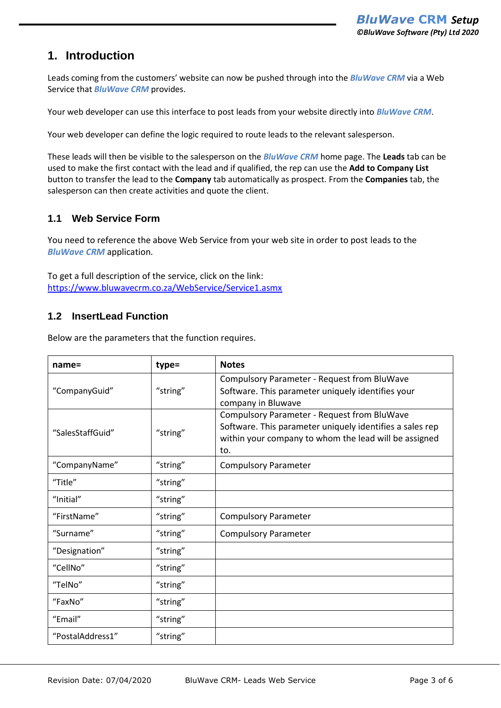### <span id="page-2-0"></span>**1. Introduction**

Leads coming from the customers' website can now be pushed through into the *BluWave CRM* via a Web Service that *BluWave CRM* provides.

Your web developer can use this interface to post leads from your website directly into *BluWave CRM*.

Your web developer can define the logic required to route leads to the relevant salesperson.

These leads will then be visible to the salesperson on the *BluWave CRM* home page. The **Leads** tab can be used to make the first contact with the lead and if qualified, the rep can use the **Add to Company List** button to transfer the lead to the **Company** tab automatically as prospect. From the **Companies** tab, the salesperson can then create activities and quote the client.

#### <span id="page-2-1"></span>**1.1 Web Service Form**

You need to reference the above Web Service from your web site in order to post leads to the *BluWave CRM* application.

To get a full description of the service, click on the link: <https://www.bluwavecrm.co.za/WebService/Service1.asmx>

#### <span id="page-2-2"></span>**1.2 InsertLead Function**

Below are the parameters that the function requires.

| $name =$         | type=    | <b>Notes</b>                                                                                                                                                            |
|------------------|----------|-------------------------------------------------------------------------------------------------------------------------------------------------------------------------|
| "CompanyGuid"    | "string" | Compulsory Parameter - Request from BluWave<br>Software. This parameter uniquely identifies your<br>company in Bluwave                                                  |
| "SalesStaffGuid" | "string" | Compulsory Parameter - Request from BluWave<br>Software. This parameter uniquely identifies a sales rep<br>within your company to whom the lead will be assigned<br>to. |
| "CompanyName"    | "string" | <b>Compulsory Parameter</b>                                                                                                                                             |
| "Title"          | "string" |                                                                                                                                                                         |
| "Initial"        | "string" |                                                                                                                                                                         |
| "FirstName"      | "string" | <b>Compulsory Parameter</b>                                                                                                                                             |
| "Surname"        | "string" | <b>Compulsory Parameter</b>                                                                                                                                             |
| "Designation"    | "string" |                                                                                                                                                                         |
| "CellNo"         | "string" |                                                                                                                                                                         |
| "TelNo"          | "string" |                                                                                                                                                                         |
| "FaxNo"          | "string" |                                                                                                                                                                         |
| "Email"          | "string" |                                                                                                                                                                         |
| "PostalAddress1" | "string" |                                                                                                                                                                         |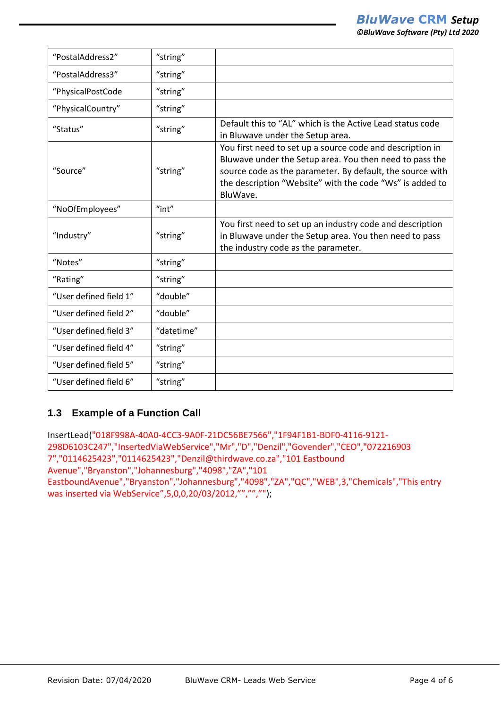| <b>©BluWave Software (Pty) Ltd 2020</b>                   |  |  |
|-----------------------------------------------------------|--|--|
|                                                           |  |  |
|                                                           |  |  |
|                                                           |  |  |
|                                                           |  |  |
| Default this to "AL" which is the Active Lead status code |  |  |
| in Bluwave under the Setup area.                          |  |  |
| You first need to set up a source code and description in |  |  |

| "PhysicalPostCode      | "string"   |                                                                                                                                                                                                                                                           |
|------------------------|------------|-----------------------------------------------------------------------------------------------------------------------------------------------------------------------------------------------------------------------------------------------------------|
| "PhysicalCountry"      | "string"   |                                                                                                                                                                                                                                                           |
| "Status"               | "string"   | Default this to "AL" which is the Active Lead status code<br>in Bluwave under the Setup area.                                                                                                                                                             |
| "Source"               | "string"   | You first need to set up a source code and description in<br>Bluwave under the Setup area. You then need to pass the<br>source code as the parameter. By default, the source with<br>the description "Website" with the code "Ws" is added to<br>BluWave. |
| "NoOfEmployees"        | "int"      |                                                                                                                                                                                                                                                           |
| "Industry"             | "string"   | You first need to set up an industry code and description<br>in Bluwave under the Setup area. You then need to pass<br>the industry code as the parameter.                                                                                                |
| "Notes"                | "string"   |                                                                                                                                                                                                                                                           |
| "Rating"               | "string"   |                                                                                                                                                                                                                                                           |
| "User defined field 1" | "double"   |                                                                                                                                                                                                                                                           |
| "User defined field 2" | "double"   |                                                                                                                                                                                                                                                           |
| "User defined field 3" | "datetime" |                                                                                                                                                                                                                                                           |
| "User defined field 4" | "string"   |                                                                                                                                                                                                                                                           |
| "User defined field 5" | "string"   |                                                                                                                                                                                                                                                           |
| "User defined field 6" | "string"   |                                                                                                                                                                                                                                                           |

## <span id="page-3-0"></span>**1.3 Example of a Function Call**

"PostalAddress2" "string"

"PostalAddress3" "string"

InsertLead("018F998A-40A0-4CC3-9A0F-21DC56BE7566","1F94F1B1-BDF0-4116-9121- 298D6103C247","InsertedViaWebService","Mr","D","Denzil","Govender","CEO","072216903 7","0114625423","0114625423","Denzil@thirdwave.co.za","101 Eastbound Avenue","Bryanston","Johannesburg","4098","ZA","101 EastboundAvenue","Bryanston","Johannesburg","4098","ZA","QC","WEB",3,"Chemicals","This entry was inserted via WebService",5,0,0,20/03/2012,"","","");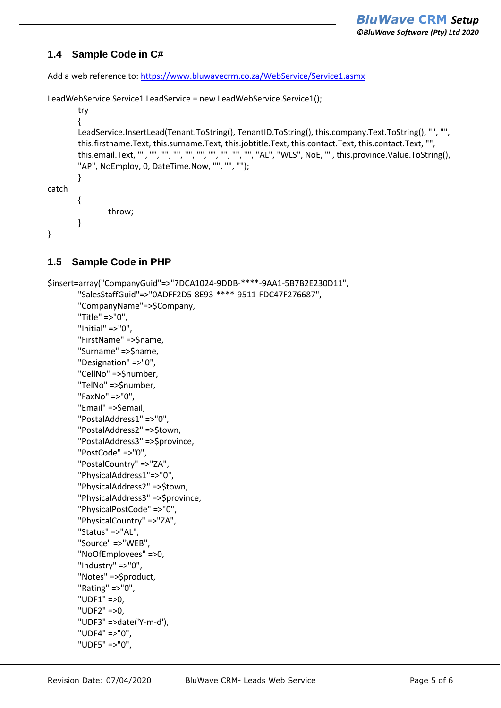#### <span id="page-4-0"></span>**1.4 Sample Code in C#**

Add a web reference to:<https://www.bluwavecrm.co.za/WebService/Service1.asmx>

LeadWebService.Service1 LeadService = new LeadWebService.Service1();

```
try
        {
        LeadService.InsertLead(Tenant.ToString(), TenantID.ToString(), this.company.Text.ToString(), "", "", 
        this.firstname.Text, this.surname.Text, this.jobtitle.Text, this.contact.Text, this.contact.Text, "", 
        this.email.Text, "", "", "", "", "", "", "", "", "", "", "AL", "WLS", NoE, "", this.province.Value.ToString(),
        "AP", NoEmploy, 0, DateTime.Now, "", "", "");
        }
catch
        {
                throw;
        }
```
#### <span id="page-4-1"></span>**1.5 Sample Code in PHP**

}

```
$insert=array("CompanyGuid"=>"7DCA1024-9DDB-****-9AA1-5B7B2E230D11",
       "SalesStaffGuid"=>"0ADFF2D5-8E93-****-9511-FDC47F276687",
       "CompanyName"=>$Company,
       "Title" =>"0",
       "Initial" =>"0",
       "FirstName" =>$name,
       "Surname" =>$name,
       "Designation" =>"0",
       "CellNo" =>$number,
       "TelNo" =>$number,
       "FaxNo" =>"0",
       "Email" =>$email,
       "PostalAddress1" =>"0",
       "PostalAddress2" =>$town,
       "PostalAddress3" =>$province,
       "PostCode" =>"0",
       "PostalCountry" =>"ZA",
       "PhysicalAddress1"=>"0",
       "PhysicalAddress2" =>$town,
       "PhysicalAddress3" =>$province,
       "PhysicalPostCode" =>"0",
       "PhysicalCountry" =>"ZA",
       "Status" =>"AL",
       "Source" =>"WEB",
       "NoOfEmployees" =>0,
       "Industry" =>"0",
       "Notes" =>$product,
       "Rating" =>"0",
       "UDF1" =>0,
       "UDF2" =>0,
       "UDF3" =>date('Y-m-d'),
       "UDF4" =>"0",
```
"UDF5" =>"0",